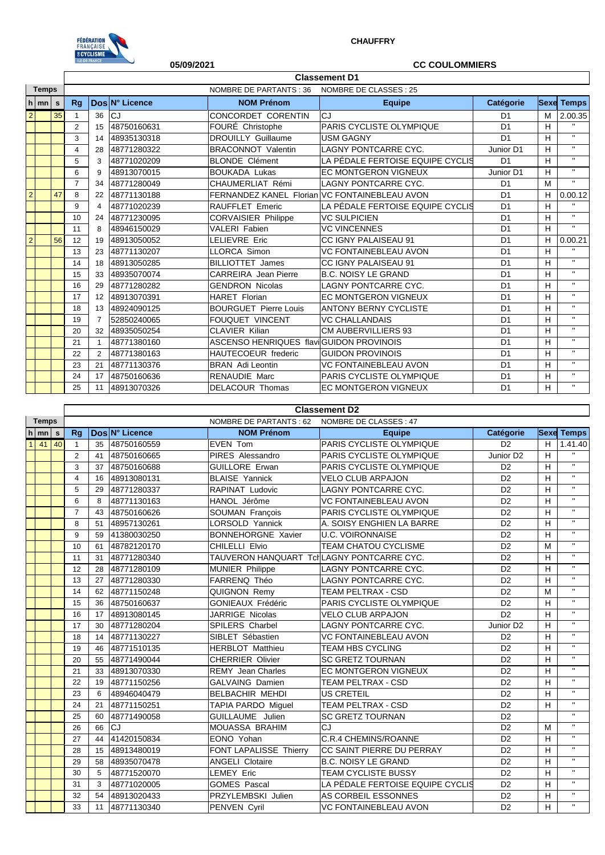

## **CHAUFFRY**

|                |        |    | <b>ILE-DE-FRANCE</b><br>05/09/2021 |                |                |                                           | <b>CC COULOMMIERS</b>                         |                |   |                   |  |  |  |
|----------------|--------|----|------------------------------------|----------------|----------------|-------------------------------------------|-----------------------------------------------|----------------|---|-------------------|--|--|--|
|                |        |    |                                    |                |                |                                           |                                               |                |   |                   |  |  |  |
| <b>Temps</b>   |        |    |                                    |                |                | <b>NOMBRE DE PARTANTS: 36</b>             | NOMBRE DE CLASSES : 25                        |                |   |                   |  |  |  |
|                | $h$ mn | s  | Rq                                 |                | Dos N° Licence | <b>NOM Prénom</b>                         | <b>Equipe</b>                                 | Catégorie      |   | <b>Sexe Temps</b> |  |  |  |
| $\overline{2}$ |        | 35 | $\overline{1}$                     | 36             | CJ             | CONCORDET CORENTIN                        | <b>CJ</b>                                     | D <sub>1</sub> | M | 2.00.35           |  |  |  |
|                |        |    | 2                                  | 15             | 48750160631    | FOURÉ Christophe                          | PARIS CYCLISTE OLYMPIQUE                      | D <sub>1</sub> | Н | $\mathbf{u}$      |  |  |  |
|                |        |    | 3                                  | 14             | 48935130318    | <b>DROUILLY Guillaume</b>                 | <b>USM GAGNY</b>                              | D <sub>1</sub> | н | $\mathbf{u}$      |  |  |  |
|                |        |    | 4                                  | 28             | 48771280322    | <b>BRACONNOT Valentin</b>                 | <b>LAGNY PONTCARRE CYC.</b>                   | Junior D1      | н | $\mathbf{u}$      |  |  |  |
|                |        |    | 5                                  | 3              | 48771020209    | <b>BLONDE Clément</b>                     | LA PÉDALE FERTOISE EQUIPE CYCLIS              | D <sub>1</sub> | н | $\mathbf{H}$      |  |  |  |
|                |        |    | 6                                  | 9              | 48913070015    | <b>BOUKADA Lukas</b>                      | <b>EC MONTGERON VIGNEUX</b>                   | Junior D1      | н | $\mathbf{u}$      |  |  |  |
|                |        |    | $\overline{7}$                     | 34             | 48771280049    | CHAUMERLIAT Rémi                          | <b>LAGNY PONTCARRE CYC.</b>                   | D <sub>1</sub> | M | $\mathbf{H}$      |  |  |  |
| $\overline{2}$ |        | 47 | 8                                  | 22             | 48771130188    |                                           | FERNANDEZ KANEL Florian VC FONTAINEBLEAU AVON | D <sub>1</sub> | н | 0.00.12           |  |  |  |
|                |        |    | 9                                  | 4              | 48771020239    | RAUFFLET Emeric                           | LA PÉDALE FERTOISE EQUIPE CYCLIS              | D <sub>1</sub> | н |                   |  |  |  |
|                |        |    | 10                                 | 24             | 48771230095    | <b>CORVAISIER Philippe</b>                | <b>VC SULPICIEN</b>                           | D <sub>1</sub> | Н | $\mathbf{u}$      |  |  |  |
|                |        |    | 11                                 | 8              | 48946150029    | <b>VALERI Fabien</b>                      | <b>VC VINCENNES</b>                           | D <sub>1</sub> | н | $\mathbf{H}$      |  |  |  |
| $\mathbf 2$    |        | 56 | 12                                 | 19             | 48913050052    | LELIEVRE Eric                             | CC IGNY PALAISEAU 91                          | D <sub>1</sub> | н | 0.00.21           |  |  |  |
|                |        |    | 13                                 | 23             | 48771130207    | <b>LLORCA Simon</b>                       | <b>VC FONTAINEBLEAU AVON</b>                  | D <sub>1</sub> | н | $\mathbf{u}$      |  |  |  |
|                |        |    | 14                                 | 18             | 48913050285    | <b>BILLIOTTET James</b>                   | CC IGNY PALAISEAU 91                          | D <sub>1</sub> | H | $\mathbf{u}$      |  |  |  |
|                |        |    | 15                                 | 33             | 48935070074    | CARREIRA Jean Pierre                      | <b>B.C. NOISY LE GRAND</b>                    | D <sub>1</sub> | н | $\mathbf{u}$      |  |  |  |
|                |        |    | 16                                 | 29             | 48771280282    | <b>GENDRON Nicolas</b>                    | <b>LAGNY PONTCARRE CYC.</b>                   | D <sub>1</sub> | н | $\mathbf{u}$      |  |  |  |
|                |        |    | 17                                 | 12             | 48913070391    | <b>HARET Florian</b>                      | <b>EC MONTGERON VIGNEUX</b>                   | D <sub>1</sub> | н | $\mathbf{u}$      |  |  |  |
|                |        |    | 18                                 | 13             | 48924090125    | <b>BOURGUET Pierre Louis</b>              | <b>ANTONY BERNY CYCLISTE</b>                  | D <sub>1</sub> | н | $\mathbf{u}$      |  |  |  |
|                |        |    | 19                                 | $\overline{7}$ | 52850240065    | <b>FOUQUET VINCENT</b>                    | <b>VC CHALLANDAIS</b>                         | D <sub>1</sub> | н | $\mathbf{H}$      |  |  |  |
|                |        |    | 20                                 | 32             | 48935050254    | <b>CLAVIER Kilian</b>                     | CM AUBERVILLIERS 93                           | D <sub>1</sub> | н | $\mathbf{H}$      |  |  |  |
|                |        |    | 21                                 | $\mathbf 1$    | 48771380160    | ASCENSO HENRIQUES flavic GUIDON PROVINOIS |                                               | D <sub>1</sub> | н | $\mathbf{H}$      |  |  |  |
|                |        |    | 22                                 | $\overline{2}$ | 48771380163    | HAUTECOEUR frederic                       | <b>GUIDON PROVINOIS</b>                       | D <sub>1</sub> | н | $\mathbf{u}$      |  |  |  |
|                |        |    | 23                                 | 21             | 48771130376    | <b>BRAN</b> Adi Leontin                   | <b>VC FONTAINEBLEAU AVON</b>                  | D <sub>1</sub> | н | $\mathbf{H}$      |  |  |  |
|                |        |    | 24                                 | 17             | 48750160636    | <b>RENAUDIE Marc</b>                      | PARIS CYCLISTE OLYMPIQUE                      | D <sub>1</sub> | н | $\mathbf{u}$      |  |  |  |
|                |        |    | 25                                 | 11             | 48913070326    | <b>DELACOUR Thomas</b>                    | <b>EC MONTGERON VIGNEUX</b>                   | D <sub>1</sub> | H | $\mathbf{u}$      |  |  |  |

|              |                    |    |                |    |                                                |                                           | <b>Classement D2</b>             |                       |   |                   |
|--------------|--------------------|----|----------------|----|------------------------------------------------|-------------------------------------------|----------------------------------|-----------------------|---|-------------------|
| <b>Temps</b> |                    |    |                |    | NOMBRE DE PARTANTS : 62 NOMBRE DE CLASSES : 47 |                                           |                                  |                       |   |                   |
|              | $h \mid mn \mid s$ |    | Rq             |    | Dos N° Licence                                 | <b>NOM Prénom</b>                         | <b>Equipe</b>                    | Catégorie             |   | <b>Sexe Temps</b> |
| 1            | 41                 | 40 | $\overline{1}$ | 35 | 48750160559                                    | <b>EVEN Tom</b>                           | PARIS CYCLISTE OLYMPIQUE         | D <sub>2</sub>        | н | 1.41.40           |
|              |                    |    | 2              | 41 | 48750160665                                    | PIRES Alessandro                          | PARIS CYCLISTE OLYMPIQUE         | Junior D <sub>2</sub> | H | $\mathbf{H}$ .    |
|              |                    |    | 3              | 37 | 48750160688                                    | <b>GUILLORE Erwan</b>                     | PARIS CYCLISTE OLYMPIQUE         | D <sub>2</sub>        | H | $\alpha$          |
|              |                    |    | $\overline{4}$ | 16 | 48913080131                                    | <b>BLAISE Yannick</b>                     | <b>VELO CLUB ARPAJON</b>         | D <sub>2</sub>        | H | $\mathbf{u}$      |
|              |                    |    | 5              | 29 | 48771280337                                    | RAPINAT Ludovic                           | LAGNY PONTCARRE CYC.             | D <sub>2</sub>        | H | $\mathbf{u}$      |
|              |                    |    | 6              | 8  | 48771130163                                    | HANOL Jérôme                              | <b>VC FONTAINEBLEAU AVON</b>     | D <sub>2</sub>        | H | $\mathbf{H}$      |
|              |                    |    | $\overline{7}$ | 43 | 48750160626                                    | SOUMAN François                           | PARIS CYCLISTE OLYMPIQUE         | D <sub>2</sub>        | H | $\mathbf{H}$      |
|              |                    |    | 8              | 51 | 48957130261                                    | LORSOLD Yannick                           | A. SOISY ENGHIEN LA BARRE        | D <sub>2</sub>        | H | $\mathbf{u}$ .    |
|              |                    |    | 9              | 59 | 41380030250                                    | <b>BONNEHORGNE Xavier</b>                 | <b>U.C. VOIRONNAISE</b>          | D <sub>2</sub>        | H | $\mathbf{u}$      |
|              |                    |    | 10             | 61 | 48782120170                                    | CHILELLI Elvio                            | <b>TEAM CHATOU CYCLISME</b>      | D <sub>2</sub>        | M | $\mathbf{u}$      |
|              |                    |    | 11             | 31 | 48771280340                                    | TAUVERON HANQUART TcHLAGNY PONTCARRE CYC. |                                  | D <sub>2</sub>        | H | $\mathbf{H}$      |
|              |                    |    | 12             | 28 | 48771280109                                    | MUNIER Philippe                           | <b>LAGNY PONTCARRE CYC.</b>      | D <sub>2</sub>        | H | $\mathbf{H}$      |
|              |                    |    | 13             | 27 | 48771280330                                    | FARRENQ Théo                              | LAGNY PONTCARRE CYC.             | D <sub>2</sub>        | H | $\mathbf{u}$      |
|              |                    |    | 14             | 62 | 48771150248                                    | QUIGNON Remy                              | <b>TEAM PELTRAX - CSD</b>        | D <sub>2</sub>        | M | $\mathbf{H}$      |
|              |                    |    | 15             | 36 | 48750160637                                    | <b>GONIEAUX Frédéric</b>                  | PARIS CYCLISTE OLYMPIQUE         | D <sub>2</sub>        | H | $\mathbf{u}$      |
|              |                    |    | 16             | 17 | 48913080145                                    | JARRIGE Nicolas                           | <b>VELO CLUB ARPAJON</b>         | D <sub>2</sub>        | H | $\mathbf{u}$      |
|              |                    |    | 17             | 30 | 48771280204                                    | <b>SPILERS Charbel</b>                    | <b>LAGNY PONTCARRE CYC.</b>      | Junior D <sub>2</sub> | H | $\mathbf{u}$      |
|              |                    |    | 18             | 14 | 48771130227                                    | SIBLET Sébastien                          | <b>VC FONTAINEBLEAU AVON</b>     | D <sub>2</sub>        | H | $\mathbf{H}$      |
|              |                    |    | 19             | 46 | 48771510135                                    | <b>HERBLOT Matthieu</b>                   | <b>TEAM HBS CYCLING</b>          | D <sub>2</sub>        | H | $\mathbf{u}$      |
|              |                    |    | 20             | 55 | 48771490044                                    | CHERRIER Olivier                          | <b>SC GRETZ TOURNAN</b>          | D <sub>2</sub>        | H | $\mathbf{u}$      |
|              |                    |    | 21             | 33 | 48913070330                                    | <b>REMY</b> Jean Charles                  | EC MONTGERON VIGNEUX             | D <sub>2</sub>        | H | $\mathbf{u}$      |
|              |                    |    | 22             | 19 | 48771150256                                    | GALVAING Damien                           | TEAM PELTRAX - CSD               | D <sub>2</sub>        | H | $\mathbf{H}$      |
|              |                    |    | 23             | 6  | 48946040479                                    | <b>BELBACHIR MEHDI</b>                    | <b>US CRETEIL</b>                | D <sub>2</sub>        | H | $\mathbf{u}$      |
|              |                    |    | 24             | 21 | 48771150251                                    | TAPIA PARDO Miquel                        | <b>TEAM PELTRAX - CSD</b>        | D <sub>2</sub>        | H | $\mathbf{H}$      |
|              |                    |    | 25             | 60 | 48771490058                                    | GUILLAUME Julien                          | <b>SC GRETZ TOURNAN</b>          | D <sub>2</sub>        |   | $\mathbf{u}$      |
|              |                    |    | 26             | 66 | CJ                                             | MOUASSA BRAHIM                            | CJ                               | D <sub>2</sub>        | M | $\mathbf{H}$      |
|              |                    |    | 27             | 44 | 41420150834                                    | EONO Yohan                                | C.R.4 CHEMINS/ROANNE             | D <sub>2</sub>        | H | $\mathbf{u}$      |
|              |                    |    | 28             | 15 | 48913480019                                    | FONT LAPALISSE Thierry                    | CC SAINT PIERRE DU PERRAY        | D <sub>2</sub>        | H | $\mathbf{H}$      |
|              |                    |    | 29             | 58 | 48935070478                                    | <b>ANGELI Clotaire</b>                    | <b>B.C. NOISY LE GRAND</b>       | D <sub>2</sub>        | H | $\alpha$          |
|              |                    |    | 30             | 5  | 48771520070                                    | <b>LEMEY Eric</b>                         | <b>TEAM CYCLISTE BUSSY</b>       | D <sub>2</sub>        | н | $\mathbf{H}$ .    |
|              |                    |    | 31             | 3  | 48771020005                                    | <b>GOMES Pascal</b>                       | LA PÉDALE FERTOISE EQUIPE CYCLIS | D <sub>2</sub>        | H | $\mathbf{H}$      |
|              |                    |    | 32             | 54 | 48913020433                                    | PRZYLEMBSKI Julien                        | AS CORBEIL ESSONNES              | D <sub>2</sub>        | H | $\mathbf{u}$      |
|              |                    |    | 33             | 11 | 48771130340                                    | <b>PENVEN Cvril</b>                       | <b>VC FONTAINEBLEAU AVON</b>     | D <sub>2</sub>        | H | $\mathbf{H}$      |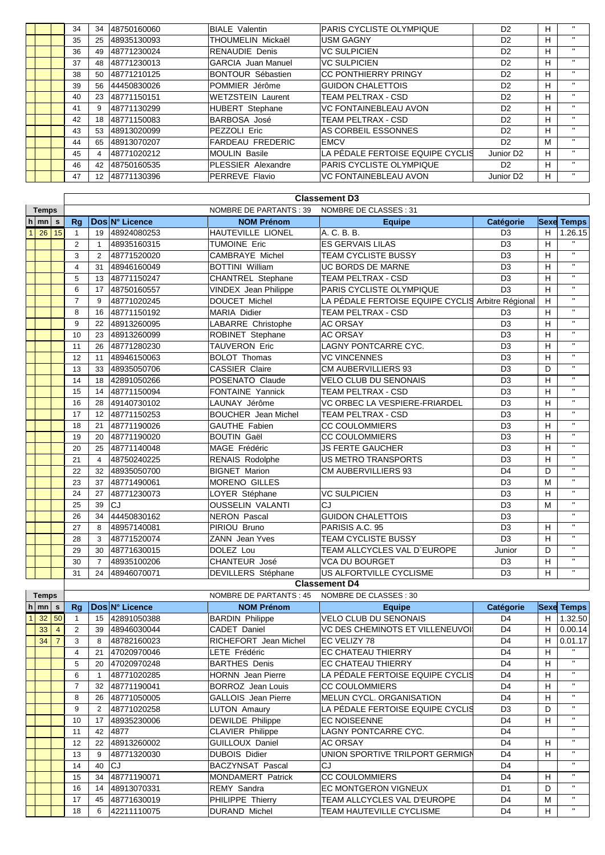|  | 34 | 34                | 48750160060 | <b>BIALE</b> Valentin     | <b>PARIS CYCLISTE OLYMPIQUE</b>  | D <sub>2</sub>        | H |              |
|--|----|-------------------|-------------|---------------------------|----------------------------------|-----------------------|---|--------------|
|  | 35 | 25                | 48935130093 | THOUMELIN Mickaël         | <b>USM GAGNY</b>                 | D <sub>2</sub>        | H |              |
|  | 36 | 49                | 48771230024 | <b>RENAUDIE Denis</b>     | <b>VC SULPICIEN</b>              | D <sub>2</sub>        | H | $\mathbf{H}$ |
|  | 37 | 48                | 48771230013 | <b>GARCIA</b> Juan Manuel | <b>VC SULPICIEN</b>              | D <sub>2</sub>        | н |              |
|  | 38 | 50                | 48771210125 | <b>BONTOUR Sébastien</b>  | ICC PONTHIERRY PRINGY            | D <sub>2</sub>        | н |              |
|  | 39 | 56                | 44450830026 | POMMIER Jérôme            | <b>GUIDON CHALETTOIS</b>         | D <sub>2</sub>        | н | $\mathbf{u}$ |
|  | 40 | 23                | 48771150151 | <b>WETZSTEIN Laurent</b>  | <b>TEAM PELTRAX - CSD</b>        | D <sub>2</sub>        | H | $\mathbf{H}$ |
|  | 41 | 9                 | 48771130299 | <b>HUBERT</b> Stephane    | <b>VC FONTAINEBLEAU AVON</b>     | D <sub>2</sub>        | H |              |
|  | 42 | 18                | 48771150083 | BARBOSA José              | <b>TEAM PELTRAX - CSD</b>        | D <sub>2</sub>        | н | $\mathbf{H}$ |
|  | 43 | 53                | 48913020099 | PEZZOLI Eric              | AS CORBEIL ESSONNES              | D <sub>2</sub>        | H | $\mathbf{H}$ |
|  | 44 | 65                | 48913070207 | <b>FARDEAU FREDERIC</b>   | <b>EMCV</b>                      | D <sub>2</sub>        | м |              |
|  | 45 |                   | 48771020212 | <b>MOULIN Basile</b>      | LA PÉDALE FERTOISE EQUIPE CYCLIS | Junior D <sub>2</sub> | H | $\mathbf{u}$ |
|  | 46 | 42                | 48750160535 | <b>PLESSIER Alexandre</b> | <b>PARIS CYCLISTE OLYMPIQUE</b>  | D <sub>2</sub>        | H | $\mathbf{H}$ |
|  | 47 | $12 \overline{ }$ | 48771130396 | PERREVE Flavio            | <b>VC FONTAINEBLEAU AVON</b>     | Junior D <sub>2</sub> | H |              |

|                |                    |    | <b>Classement D3</b>                                            |                                                                          |                |                              |                                                   |                  |   |                   |  |  |  |  |
|----------------|--------------------|----|-----------------------------------------------------------------|--------------------------------------------------------------------------|----------------|------------------------------|---------------------------------------------------|------------------|---|-------------------|--|--|--|--|
|                | <b>Temps</b>       |    |                                                                 |                                                                          |                | NOMBRE DE PARTANTS : 39      | NOMBRE DE CLASSES: 31                             |                  |   |                   |  |  |  |  |
|                | $h \mid mn \mid s$ |    | Ra                                                              |                                                                          | Dos N° Licence | <b>NOM Prénom</b>            | <b>Equipe</b>                                     | <b>Catégorie</b> |   | <b>Sexe Temps</b> |  |  |  |  |
| $\overline{1}$ | 26                 | 15 | $\mathbf 1$                                                     | 19                                                                       | 48924080253    | HAUTEVILLE LIONEL            | A. C. B. B.                                       | D <sub>3</sub>   | н | 1.26.15           |  |  |  |  |
|                |                    |    | 2                                                               | $\overline{1}$                                                           | 48935160315    | <b>TUMOINE Eric</b>          | <b>ES GERVAIS LILAS</b>                           | D <sub>3</sub>   | H | $\mathbf{u}$      |  |  |  |  |
|                |                    |    | 3                                                               | $\overline{2}$                                                           | 48771520020    | <b>CAMBRAYE Michel</b>       | <b>TEAM CYCLISTE BUSSY</b>                        | D <sub>3</sub>   | н | $\mathbf{H}$      |  |  |  |  |
|                |                    |    | $\overline{4}$                                                  | <b>BOTTINI William</b><br><b>UC BORDS DE MARNE</b><br>48946160049<br>31  |                | D <sub>3</sub>               | H                                                 | $\mathbf{u}$     |   |                   |  |  |  |  |
|                |                    |    | 5                                                               | 13                                                                       | 48771150247    | <b>CHANTREL Stephane</b>     | <b>TEAM PELTRAX - CSD</b>                         | D <sub>3</sub>   | н | $\mathbf{H}$      |  |  |  |  |
|                |                    |    | 6                                                               | 17                                                                       | 48750160557    | VINDEX Jean Philippe         | PARIS CYCLISTE OLYMPIQUE                          | D <sub>3</sub>   | H | $\mathbf{H}$      |  |  |  |  |
|                |                    |    | $\overline{7}$                                                  | 9                                                                        | 48771020245    | <b>DOUCET Michel</b>         | LA PÉDALE FERTOISE EQUIPE CYCLIS Arbitre Régional |                  | H | $\mathbf{u}$      |  |  |  |  |
|                |                    |    | 8                                                               | 16                                                                       | 48771150192    | <b>MARIA Didier</b>          | <b>TEAM PELTRAX - CSD</b>                         | D <sub>3</sub>   | н | $\mathbf{u}$      |  |  |  |  |
|                |                    |    | 9<br>LABARRE Christophe<br><b>AC ORSAY</b><br>48913260095<br>22 |                                                                          | D <sub>3</sub> | H                            | $\mathbf{u}$                                      |                  |   |                   |  |  |  |  |
|                |                    |    | 10                                                              | ROBINET Stephane<br><b>AC ORSAY</b><br>23<br>48913260099                 |                | D <sub>3</sub>               | н                                                 | $\mathbf{u}$     |   |                   |  |  |  |  |
|                |                    |    | 11                                                              | <b>TAUVERON Eric</b><br><b>LAGNY PONTCARRE CYC.</b><br>26<br>48771280230 |                | D <sub>3</sub>               | H                                                 | $\mathbf{u}$     |   |                   |  |  |  |  |
|                |                    |    | 12                                                              | <b>BOLOT Thomas</b><br><b>VC VINCENNES</b><br>48946150063<br>11          |                | D <sub>3</sub>               | H                                                 | $\mathbf{u}$     |   |                   |  |  |  |  |
|                |                    |    | 13                                                              | <b>CASSIER Claire</b><br><b>CM AUBERVILLIERS 93</b><br>48935050706<br>33 |                | D <sub>3</sub>               | D                                                 | $\mathbf{u}$     |   |                   |  |  |  |  |
|                |                    |    | 14                                                              | <b>VELO CLUB DU SENONAIS</b><br>POSENATO Claude<br>42891050266<br>18     |                | D <sub>3</sub>               | H                                                 | $\mathbf{u}$     |   |                   |  |  |  |  |
|                |                    |    | 15                                                              | 14                                                                       | 48771150094    | <b>FONTAINE Yannick</b>      | <b>TEAM PELTRAX - CSD</b>                         | D <sub>3</sub>   | H | $\mathbf{H}$      |  |  |  |  |
|                |                    |    | 16                                                              | 28                                                                       | 49140730102    | LAUNAY Jérôme                | VC ORBEC LA VESPIERE-FRIARDEL                     | D <sub>3</sub>   | H | $\mathbf{u}$      |  |  |  |  |
|                |                    |    | 17                                                              | 12                                                                       | 48771150253    | <b>BOUCHER</b> Jean Michel   | <b>TEAM PELTRAX - CSD</b>                         | D <sub>3</sub>   | H | $\mathbf{u}$      |  |  |  |  |
|                |                    |    | 18                                                              | 21                                                                       | 48771190026    | GAUTHE Fabien                | <b>CC COULOMMIERS</b>                             | D <sub>3</sub>   | H | $\mathbf{H}$      |  |  |  |  |
|                |                    |    | 19                                                              | 20                                                                       | 48771190020    | <b>BOUTIN Gaël</b>           | <b>CC COULOMMIERS</b>                             | D <sub>3</sub>   | H | $\mathbf{u}$      |  |  |  |  |
|                |                    |    | 20                                                              | 25                                                                       | 48771140048    | MAGE Frédéric                | <b>JS FERTE GAUCHER</b>                           | D <sub>3</sub>   | Н | $\mathbf{u}$      |  |  |  |  |
|                |                    |    | 21                                                              | $\overline{4}$                                                           | 48750240225    | RENAIS Rodolphe              | <b>US METRO TRANSPORTS</b>                        | D <sub>3</sub>   | H | $\mathbf{H}$      |  |  |  |  |
|                |                    |    | 22                                                              | 32                                                                       | 48935050700    | <b>BIGNET Marion</b>         | <b>CM AUBERVILLIERS 93</b>                        | D <sub>4</sub>   | D | $\mathbf{u}$      |  |  |  |  |
|                |                    |    | 23                                                              | 37                                                                       | 48771490061    | <b>MORENO GILLES</b>         |                                                   | D <sub>3</sub>   | M | $\mathbf{u}$      |  |  |  |  |
|                |                    |    | 24                                                              | 27                                                                       | 48771230073    | LOYER Stéphane               | <b>VC SULPICIEN</b>                               | D <sub>3</sub>   | H | $\mathbf{u}$      |  |  |  |  |
|                |                    |    | 25                                                              | 39                                                                       | C1             | <b>OUSSELIN VALANTI</b>      | CJ                                                | D <sub>3</sub>   | M | $\mathbf{u}$      |  |  |  |  |
|                |                    |    | 26                                                              | 34                                                                       | 44450830162    | <b>NERON Pascal</b>          | <b>GUIDON CHALETTOIS</b>                          | D <sub>3</sub>   |   | $\mathbf{H}$      |  |  |  |  |
|                |                    |    | 27                                                              | 8                                                                        | 48957140081    | PIRIOU Bruno                 | PARISIS A.C. 95                                   | D <sub>3</sub>   | H | $\mathbf{u}$      |  |  |  |  |
|                |                    |    | 28                                                              | 3                                                                        | 48771520074    | <b>ZANN</b> Jean Yves        | <b>TEAM CYCLISTE BUSSY</b>                        | D <sub>3</sub>   | н | $\mathbf{H}$      |  |  |  |  |
|                |                    |    | 29                                                              | 30                                                                       | 48771630015    | DOLEZ Lou                    | TEAM ALLCYCLES VAL D'EUROPE                       | Junior           | D | $\mathbf{u}$      |  |  |  |  |
|                |                    |    | 30                                                              | $\overline{7}$                                                           | 48935100206    | CHANTEUR José                | <b>VCA DU BOURGET</b>                             | D <sub>3</sub>   | H | $\mathbf{u}$      |  |  |  |  |
|                |                    |    | 31                                                              | 24                                                                       | 48946070071    | DEVILLERS Stéphane<br>$\sim$ | US ALFORTVILLE CYCLISME                           | D <sub>3</sub>   | H | $\mathbf{H}$      |  |  |  |  |

## **Classement D4** NOMBBE

| remps |                    |    |    |    |                       | NUMBRE DE PARTANTS : 45    | - NUMBRE DE CLASSES : 30               |                |             |              |
|-------|--------------------|----|----|----|-----------------------|----------------------------|----------------------------------------|----------------|-------------|--------------|
|       | $h \mid mn \mid s$ |    | Rq |    | <b>DosIN° Licence</b> | <b>NOM Prénom</b>          | <b>Equipe</b>                          | Catégorie      | <b>Sexe</b> | <b>Temps</b> |
|       | 32                 | 50 |    | 15 | 42891050388           | <b>BARDIN Philippe</b>     | VELO CLUB DU SENONAIS                  | D <sub>4</sub> | н           | 1.32.50      |
|       | 33                 |    | 2  | 39 | 48946030044           | CADET Daniel               | <b>VC DES CHEMINOTS ET VILLENEUVOI</b> | D <sub>4</sub> | н           | 0.00.14      |
|       | 34                 |    | 3  | 8  | 48782160023           | RICHEFORT Jean Michel      | EC VELIZY 78                           | D <sub>4</sub> | н           | 0.01.17      |
|       |                    |    | 4  | 21 | 47020970046           | LETE Frédéric              | <b>EC CHATEAU THIERRY</b>              | D <sub>4</sub> | н           | $\mathbf{u}$ |
|       |                    |    | 5  | 20 | 47020970248           | <b>BARTHES Denis</b>       | <b>EC CHATEAU THIERRY</b>              | D <sub>4</sub> | н           | $\mathbf{H}$ |
|       |                    |    | 6  |    | 48771020285           | <b>HORNN</b> Jean Pierre   | LA PÉDALE FERTOISE EQUIPE CYCLIS       | D <sub>4</sub> | н           | $\mathbf{H}$ |
|       |                    |    |    | 32 | 48771190041           | <b>BORROZ</b> Jean Louis   | <b>CC COULOMMIERS</b>                  | D <sub>4</sub> | н           | $\mathbf{u}$ |
|       |                    |    | 8  | 26 | 48771050005           | <b>GALLOIS</b> Jean Pierre | <b>MELUN CYCL, ORGANISATION</b>        | D <sub>4</sub> | н           | $\mathbf{u}$ |
|       |                    |    | 9  |    | 48771020258           | LUTON Amaury               | LA PÉDALE FERTOISE EQUIPE CYCLIS       | D <sub>3</sub> | D           | $\mathbf{u}$ |
|       |                    |    | 10 | 17 | 48935230006           | DEWILDE Philippe           | <b>EC NOISEENNE</b>                    | D <sub>4</sub> | н           | $\mathbf{u}$ |
|       |                    |    | 11 | 42 | 4877                  | <b>CLAVIER Philippe</b>    | LAGNY PONTCARRE CYC.                   | D <sub>4</sub> |             | $\mathbf{u}$ |
|       |                    |    | 12 | 22 | 48913260002           | GUILLOUX Daniel            | <b>AC ORSAY</b>                        | D <sub>4</sub> | н           | $\mathbf{H}$ |
|       |                    |    | 13 | 9  | 48771320030           | <b>DUBOIS Didier</b>       | UNION SPORTIVE TRILPORT GERMIGN        | D <sub>4</sub> | н           | $\mathbf{H}$ |
|       |                    |    | 14 | 40 | CJ                    | <b>BACZYNSAT Pascal</b>    | CJ                                     | D <sub>4</sub> |             | $\mathbf{u}$ |
|       |                    |    | 15 | 34 | 48771190071           | <b>MONDAMERT Patrick</b>   | <b>CC COULOMMIERS</b>                  | D <sub>4</sub> | н           | $\mathbf{u}$ |
|       |                    |    | 16 | 14 | 48913070331           | <b>REMY Sandra</b>         | <b>EC MONTGERON VIGNEUX</b>            | D <sub>1</sub> | D           | $\mathbf{u}$ |
|       |                    |    | 17 | 45 | 48771630019           | PHILIPPE Thierry           | TEAM ALLCYCLES VAL D'EUROPE            | D <sub>4</sub> | М           | $\mathbf{u}$ |
|       |                    |    | 18 |    | 42211110075           | <b>DURAND Michel</b>       | TEAM HAUTEVILLE CYCLISME               | D <sub>4</sub> | H.          | $\mathbf{u}$ |